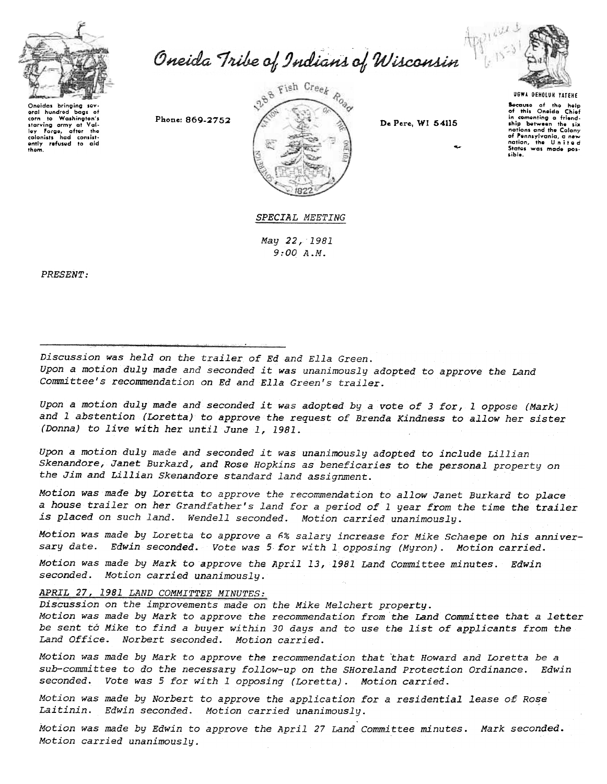

aral hundred bags of

colonists had consist-<br>ently refused to aid

starving army at<br>ley Forge, after

corn

thom.

to Washington's

Vot.

Oneida Tribe of Indians of Wisconsin



**UGWA DEHOLUN YATEHE** 

ause of the help:<br>this Oneida Chief **Bocauso**  $\bullet$ f in comenting a friend-<br>ship between the six nations and the Colony of Pennsylvania, a new<br>nation, the United<br>States was made possible.

Phone: 869-2752



De Pere, WI 54115

SPECIAL MEETING May 22, 1981

 $9:00 A.M.$ 

PRESENT:

Discussion was held on the trailer of Ed and Ella Green.

Upon a motion duly made and seconded it was unanimously adopted to approve the Land Committee's recommendation on Ed and Ella Green's trailer.

Upon a motion duly made and seconded it was adopted by a vote of 3 for, 1 oppose (Mark) and l abstention (Loretta) to approve the request of Brenda Kindness to allow her sister (Donna) to live with her until June 1, 1981.

Upon a motion duly made and seconded it was unanimously adopted to include Lillian Skenandore, Janet Burkard, and Rose Hopkins as beneficaries to the personal property on the Jim and Lillian Skenandore standard land assignment.

Motion was made by Loretta to approve the recommendation to allow Janet Burkard to place a house trailer on her Grandfather's land for a period of 1 year from the time the trailer is placed on such land. Wendell seconded. Motion carried unanimously.

Motion was made by Loretta to approve a 6% salary increase for Mike Schaepe on his anniversary date. Edwin seconded. Vote was 5 for with 1 opposing (Myron). Motion carried.

Motion was made by Mark to approve the April 13, 1981 Land Committee minutes. Edwin seconded. Motion carried unanimously.

## APRIL 27, 1981 LAND COMMITTEE MINUTES:

Discussion on the improvements made on the Mike Melchert property.

Motion was made by Mark to approve the recommendation from the Land Committee that a letter be sent to Mike to find a buyer within 30 days and to use the list of applicants from the Land Office. Norbert seconded. Motion carried.

Motion was made by Mark to approve the recommendation that that Howard and Loretta be a sub-committee to do the necessary follow-up on the SHoreland Protection Ordinance. Edwin seconded. Vote was 5 for with 1 opposing (Loretta). Motion carried.

Motion was made by Norbert to approve the application for a residential lease of Rose *Laitinin.* Edwin seconded. Motion carried unanimously.

Motion was made by Edwin to approve the April 27 Land Committee minutes. Mark seconded. Motion carried unanimously.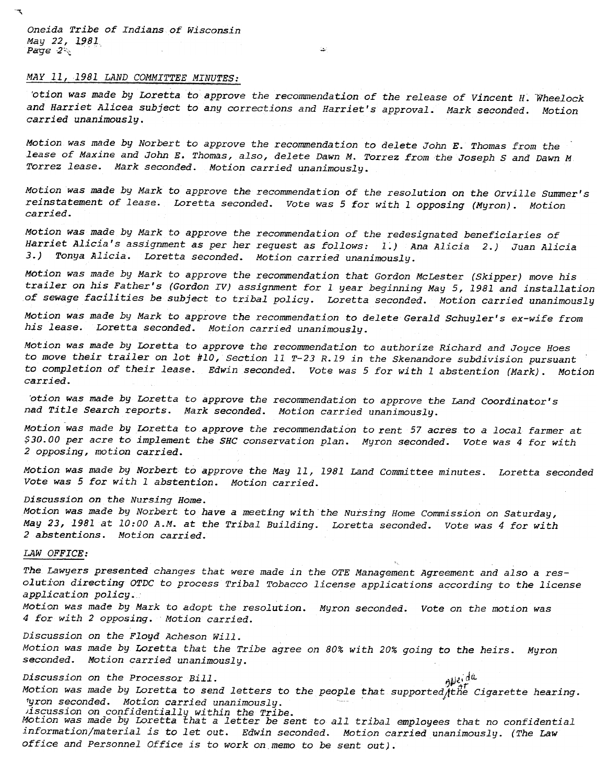Oneida Tribe of Indians of Wisconsin May 22, 1981, Page  $2\%$ 

~

## MAY 11, 1981 LAND COMMITTEE MINUTES:

'otion was made by Loretta to approve the recommendation of the release of Vincent H. Wheelock and Harriet Alicea subject to any corrections and Harriet's approval. Mark seconded. Motion carried unanimously.

.

Motion was made by Norbert to approve the recommendation to delete John E. Thomas from the lease of Maxine and John E. Thomas, also, delete Dawn M. Torrez from the Joseph S and Dawn M Torrez lease. Mark seconded. Motion carried unanimously.

Motion was made by Mark to approve the recommendation of the resolution on the Orville Summer's reinstatement of lease. Loretta seconded. Vote was 5 for with 1 opposing (Myron). Motion carried.

Motion was made by Mark to approve the recommendation of the redesignated beneficiaries of Harriet Alicia's assignment as per her request as follows: l~) Ana Alicia 2.) Juan Alicia 3.) Tonya Alicia. Loretta seconded. Motion carried unanimously.

Motion was made by Mark to approve the recommendation that Gordon McLester (Skipper) move his trailer on his Father's (Gordon IV) assignment for 1. year beginning May 5,1981 and installation of sewage facilities be subject to tribal policy. Loretta seconded. Motion carried unanimously

Motion was made by Mark to approve the recommendation to delete Gerald Schuyler's ex-wife from his lease. Loretta seconded. Motion carried unanimously.

Motion was made by Loretta to approve the recommendation to authorize Richard and Joyce Hoes to move their trailer on lot #10, Section 11 T-23 R.19 in the Skenandore subdivision pursuant to completion of their lease. Edwin seconded. Vote was 5 for with 1 abstention (Mark). Motion carried.

'otion was made by Loretta to approve the recommendation to approve the Land Coordinator's nad Title Search reports. Mark seconded. Motion carried unanimously.

Motion-was made by Loretta to approve the recommendation to rent 57 acres to a local farmer at \$30.00 per acre to implement the SHC conservation plan. Myron seconded. Vote was 4 for with 2 opposing, motion carried.

Motion was made by Norbert to approve the May 11, 1981 Land Committee minutes. Loretta seconded Vote was 5 for with 1 abstention. Motion carried.

## Discussion on the Nursing Home.

Motion was made by Norbert to have a meeting with the Nursing Home Commission on Saturday, May 23, 1981 at 10:00 A.M. at the Tribal Building. Loretta seconded. Vote was 4 for with 2 abstentions. Motion carried.

## LAW OFFICE:

The Lawyers presented changes that were made in the GTE Management Agreement and also a resolution directing OTDC to process Tribal Tobacco license applications according to the license application policy.

Motion was made by Mark to adopt the resolution. Myron seconded. Vote on the motion was 4 for with 2 opposing. Motion carried.

Discussion on the Floyd Acheson will. Motion was made by Loretta that the Tribe agree on 80% with 20% going to the heirs. Myron seconded. Motion carried unanimously.

Discussion on the Processor Bill.  $a_{ab}$ <sub>a</sub>...<sup>du</sup>

Motion was made by Loretta to send letters to the people that supported $A$ the Cigarette hearing. furon seconded. Motion carried unanimously.  $i$ iscussion on confidentially within the Trib

Motion was made by Loretta that a letter be sent to all tribal employees that no confident information/material is to let out. Edwin seconded. Motion carried unanimously. (The Law office and Personnel Office is to work on memo to be sent out).